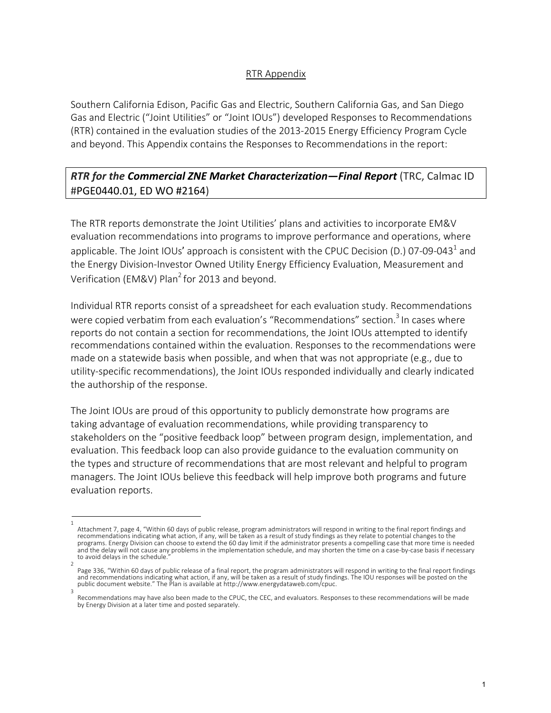## RTR Appendix

Southern California Edison, Pacific Gas and Electric, Southern California Gas, and San Diego Gas and Electric ("Joint Utilities" or "Joint IOUs") developed Responses to Recommendations (RTR) contained in the evaluation studies of the 2013-2015 Energy Efficiency Program Cycle and beyond. This Appendix contains the Responses to Recommendations in the report:

## *RTR for the Commercial ZNE Market Characterization—Final Report* (TRC, Calmac ID #PGE0440.01, ED WO #2164)

The RTR reports demonstrate the Joint Utilities' plans and activities to incorporate EM&V evaluation recommendations into programs to improve performance and operations, where applicable. The Joint IOUs' approach is consistent with the CPUC Decision (D.) 07-09-043<sup>1</sup> and the Energy Division-Investor Owned Utility Energy Efficiency Evaluation, Measurement and Verification (EM&V) Plan<sup>2</sup> for 2013 and beyond.

Individual RTR reports consist of a spreadsheet for each evaluation study. Recommendations were copied verbatim from each evaluation's "Recommendations" section.<sup>3</sup> In cases where reports do not contain a section for recommendations, the Joint IOUs attempted to identify recommendations contained within the evaluation. Responses to the recommendations were made on a statewide basis when possible, and when that was not appropriate (e.g., due to utility-specific recommendations), the Joint IOUs responded individually and clearly indicated the authorship of the response.

The Joint IOUs are proud of this opportunity to publicly demonstrate how programs are taking advantage of evaluation recommendations, while providing transparency to stakeholders on the "positive feedback loop" between program design, implementation, and evaluation. This feedback loop can also provide guidance to the evaluation community on the types and structure of recommendations that are most relevant and helpful to program managers. The Joint IOUs believe this feedback will help improve both programs and future evaluation reports.

<sup>1</sup>  Attachment 7, page 4, "Within 60 days of public release, program administrators will respond in writing to the final report findings and recommendations indicating what action, if any, will be taken as a result of study findings as they relate to potential changes to the programs. Energy Division can choose to extend the 60 day limit if the administrator presents a compelling case that more time is needed and the delay will not cause any problems in the implementation schedule, and may shorten the time on a case-by-case basis if necessary to avoid delays in the schedule.

<sup>2</sup>  Page 336, "Within 60 days of public release of a final report, the program administrators will respond in writing to the final report findings and recommendations indicating what action, if any, will be taken as a result of study findings. The IOU responses will be posted on the public document website." The Plan is available at http://www.energydataweb.com/cpuc. 3

Recommendations may have also been made to the CPUC, the CEC, and evaluators. Responses to these recommendations will be made by Energy Division at a later time and posted separately.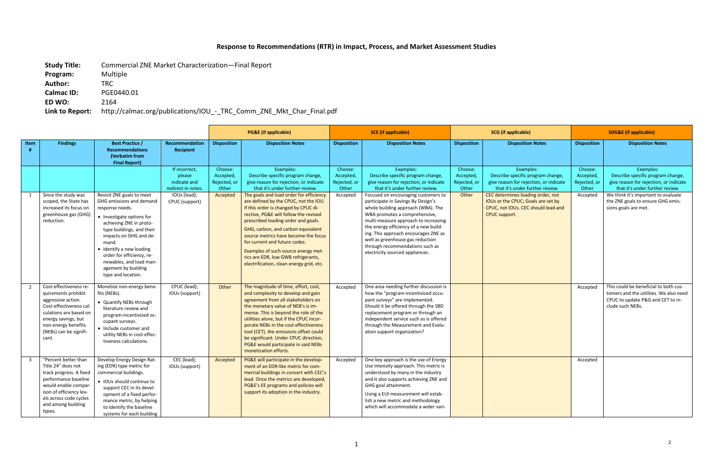## **Response to Recommendations (RTR) in Impact, Process, and Market Assessment Studies**

**Study Title:** Commercial ZNE Market Characterization—Final Report **Program:** Multiple **Author:** TRC **Calmac ID:** PGE0440.01 **ED WO:** 2164 **Link to Report:** http://calmac.org/publications/IOU\_-\_TRC\_Comm\_ZNE\_Mkt\_Char\_Final.pdf

|                |                                                                                                                                                                                                            |                                                                                                                                                                                                                                                                                                                                   |                                                                                                |                                                           | <b>PG&amp;E</b> (if applicable)                                                                                                                                                                                                                                                                                                                                                                                                                                                                                                                                                  | <b>SCE</b> (if applicable)                                |                                                                                                                                                                                                                                                                                                                                                                                                                                                                                                                    |                                                        | <b>SCG</b> (if applicable)                                                                                                                                                                                                                                     | <b>SDG&amp;E</b> (if applicable)                          |                                                                                                                                                                                                                                 |
|----------------|------------------------------------------------------------------------------------------------------------------------------------------------------------------------------------------------------------|-----------------------------------------------------------------------------------------------------------------------------------------------------------------------------------------------------------------------------------------------------------------------------------------------------------------------------------|------------------------------------------------------------------------------------------------|-----------------------------------------------------------|----------------------------------------------------------------------------------------------------------------------------------------------------------------------------------------------------------------------------------------------------------------------------------------------------------------------------------------------------------------------------------------------------------------------------------------------------------------------------------------------------------------------------------------------------------------------------------|-----------------------------------------------------------|--------------------------------------------------------------------------------------------------------------------------------------------------------------------------------------------------------------------------------------------------------------------------------------------------------------------------------------------------------------------------------------------------------------------------------------------------------------------------------------------------------------------|--------------------------------------------------------|----------------------------------------------------------------------------------------------------------------------------------------------------------------------------------------------------------------------------------------------------------------|-----------------------------------------------------------|---------------------------------------------------------------------------------------------------------------------------------------------------------------------------------------------------------------------------------|
| Item<br>#      | <b>Findings</b>                                                                                                                                                                                            | <b>Best Practice /</b><br><b>Recommendations</b><br>(Verbatim from<br><b>Final Report)</b>                                                                                                                                                                                                                                        | <b>Recommendation</b><br><b>Recipient</b>                                                      | <b>Disposition</b>                                        | <b>Disposition Notes</b>                                                                                                                                                                                                                                                                                                                                                                                                                                                                                                                                                         | <b>Disposition</b>                                        | <b>Disposition Notes</b>                                                                                                                                                                                                                                                                                                                                                                                                                                                                                           | <b>Disposition</b>                                     | <b>Disposition Notes</b>                                                                                                                                                                                                                                       | <b>Disposition</b>                                        | <b>Disposition Notes</b>                                                                                                                                                                                                        |
| 1              | Since the study was<br>scoped, the State has<br>increased its focus on<br>greenhouse gas (GHG)<br>reduction.                                                                                               | Revisit ZNE goals to meet<br>GHG emissions and demand<br>response needs.<br>• Investigate options for<br>achieving ZNE in proto-<br>type buildings, and their<br>impacts on GHG and de-<br>mand.<br>• Identify a new loading<br>order for efficiency, re-<br>newables, and load man-<br>agement by building<br>type and location. | If incorrect,<br>please<br>indicate and<br>redirect in notes<br>IOUs (lead);<br>CPUC (support) | Choose:<br>Accepted,<br>Rejected, or<br>Other<br>Accepted | Examples:<br>Describe specific program change,<br>give reason for rejection, or indicate<br>that it's under further review.<br>The goals and load order for efficiency<br>are defined by the CPUC, not the IOU.<br>If this order is changed by CPUC di-<br>rective, PG&E will follow the revised<br>prescribed loading order and goals.<br>GHG, carbon, and carbon equivalent<br>source metrics have become the focus<br>for current and future codes.<br>Examples of such source energy met-<br>rics are EDR, low GWB refrigerants,<br>electrification, clean energy grid, etc. | Choose:<br>Accepted,<br>Rejected, or<br>Other<br>Accepted | Examples:<br>Describe specific program change,<br>give reason for rejection, or indicate<br>that it's under further review.<br>Focused on encouraging customers to<br>participate in Savings By Design's<br>whole building approach (WBA). The<br>WBA promotes a comprehensive,<br>multi-measure approach to increasing<br>the energy efficiency of a new build-<br>ing. This approach encourages ZNE as<br>well as greenhouse gas reduction<br>through recommendations such as<br>electricity sourced appliances. | Choose:<br>Accepted,<br>Rejected, or<br>Other<br>Other | Examples:<br>Describe specific program change,<br>give reason for rejection, or indicate<br>that it's under further review.<br>CEC determines loading order, not<br>IOUs or the CPUC; Goals are set by<br>CPUC, not IOUs. CEC should lead and<br>CPUC support. | Choose:<br>Accepted,<br>Rejected, or<br>Other<br>Accepted | Examples:<br>Describe specific program change,<br>give reason for rejection, or indicate<br>that it's under further review.<br>We think it's important to evaluate<br>the ZNE goals to ensure GHG emis-<br>sions goals are met. |
| $\overline{2}$ | Cost-effectiveness re-<br>quirements prohibit<br>aggressive action.<br>Cost-effectiveness cal-<br>culations are based on<br>energy savings, but<br>non-energy benefits<br>(NEBs) can be signifi-<br>cant.  | Monetize non-energy bene-<br>fits (NEBs).<br>• Quantify NEBs through<br>literature review and<br>program-incentivized oc-<br>cupant surveys.<br>• Include customer and<br>utility NEBs in cost-effec-<br>tiveness calculations.                                                                                                   | CPUC (lead);<br>IOUs (support)                                                                 | Other                                                     | The magnitude of time, effort, cost,<br>and complexity to develop and gain<br>agreement from all stakeholders on<br>the monetary value of NEB's is im-<br>mense. This is beyond the role of the<br>utilities alone, but if the CPUC incor-<br>porate NEBs in the cost effectiveness<br>tool (CET), the emissions offset could<br>be significant. Under CPUC direction,<br>PG&E would participate in said NEBs<br>monetization efforts.                                                                                                                                           | Accepted                                                  | One area needing further discussion is<br>how the "program-incentivized occu-<br>pant surveys" are implemented.<br>Should it be offered through the SBD<br>replacement program or through an<br>independent service such as is offered<br>through the Measurement and Evalu-<br>ation support organization?                                                                                                                                                                                                        |                                                        |                                                                                                                                                                                                                                                                | Accepted                                                  | This could be beneficial to both cus-<br>tomers and the utilities. We also need<br>CPUC to update P&G and CET to in-<br>clude such NEBs.                                                                                        |
| $\overline{3}$ | "Percent better than<br>Title 24" does not<br>track progress. A fixed<br>performance baseline<br>would enable compar-<br>ison of efficiency lev-<br>els across code cycles<br>and among building<br>types. | Develop Energy Design Rat-<br>ing (EDR) type metric for<br>commercial buildings.<br>· IOUs should continue to<br>support CEC in its devel-<br>opment of a fixed perfor-<br>mance metric, by helping<br>to identify the baseline<br>systems for each building                                                                      | CEC (lead);<br>IOUs (support)                                                                  | Accepted                                                  | PG&E will participate in the develop-<br>ment of an EDR-like metric for com-<br>mercial buildings in concert with CEC's<br>lead. Once the metrics are developed,<br>PG&E's EE programs and policies will<br>support its adoption in the industry.                                                                                                                                                                                                                                                                                                                                | Accepted                                                  | One key approach is the use of Energy<br>Use Intensity approach. This metric is<br>understood by many in the industry<br>and it also supports achieving ZNE and<br>GHG goal attainment.<br>Using a EUI measurement will estab-<br>lish a new metric and methodology<br>which will accommodate a wider vari-                                                                                                                                                                                                        |                                                        |                                                                                                                                                                                                                                                                | Accepted                                                  |                                                                                                                                                                                                                                 |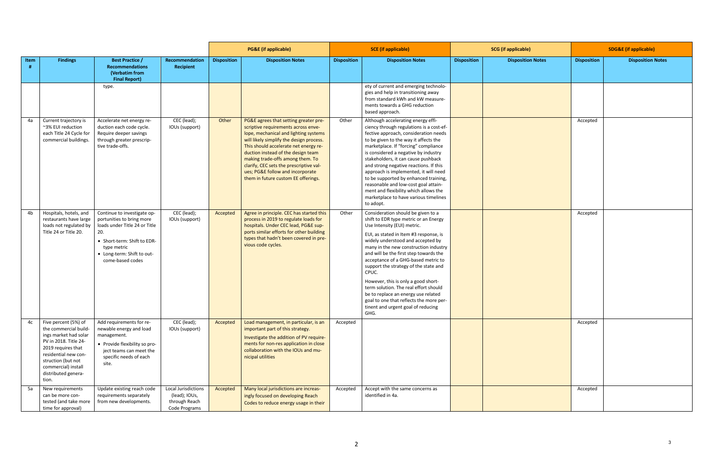|      |                                                                                                                                                                                                                            |                                                                                                                                                                                                  |                                                                        |                    | <b>PG&amp;E</b> (if applicable)                                                                                                                                                                                                                                                                                                                                                                            | <b>SCE</b> (if applicable) |                                                                                                                                                                                                                                                                                                                                                                                                                                                                                                                                                                                       | <b>SCG</b> (if applicable) |                          | <b>SDG&amp;E (if applicable)</b> |                          |
|------|----------------------------------------------------------------------------------------------------------------------------------------------------------------------------------------------------------------------------|--------------------------------------------------------------------------------------------------------------------------------------------------------------------------------------------------|------------------------------------------------------------------------|--------------------|------------------------------------------------------------------------------------------------------------------------------------------------------------------------------------------------------------------------------------------------------------------------------------------------------------------------------------------------------------------------------------------------------------|----------------------------|---------------------------------------------------------------------------------------------------------------------------------------------------------------------------------------------------------------------------------------------------------------------------------------------------------------------------------------------------------------------------------------------------------------------------------------------------------------------------------------------------------------------------------------------------------------------------------------|----------------------------|--------------------------|----------------------------------|--------------------------|
| Item | <b>Findings</b>                                                                                                                                                                                                            | <b>Best Practice /</b><br><b>Recommendations</b><br>(Verbatim from<br><b>Final Report)</b>                                                                                                       | Recommendation<br><b>Recipient</b>                                     | <b>Disposition</b> | <b>Disposition Notes</b>                                                                                                                                                                                                                                                                                                                                                                                   | <b>Disposition</b>         | <b>Disposition Notes</b>                                                                                                                                                                                                                                                                                                                                                                                                                                                                                                                                                              | <b>Disposition</b>         | <b>Disposition Notes</b> | <b>Disposition</b>               | <b>Disposition Notes</b> |
|      |                                                                                                                                                                                                                            | type.                                                                                                                                                                                            |                                                                        |                    |                                                                                                                                                                                                                                                                                                                                                                                                            |                            | ety of current and emerging technolo-<br>gies and help in transitioning away<br>from standard kWh and kW measure-<br>ments towards a GHG reduction<br>based approach.                                                                                                                                                                                                                                                                                                                                                                                                                 |                            |                          |                                  |                          |
| 4a   | Current trajectory is<br>~3% EUI reduction<br>each Title 24 Cycle for<br>commercial buildings.                                                                                                                             | Accelerate net energy re-<br>duction each code cycle.<br>Require deeper savings<br>through greater prescrip-<br>tive trade-offs.                                                                 | CEC (lead);<br>IOUs (support)                                          | Other              | PG&E agrees that setting greater pre-<br>scriptive requirements across enve-<br>lope, mechanical and lighting systems<br>will likely simplify the design process.<br>This should accelerate net energy re-<br>duction instead of the design team<br>making trade-offs among them. To<br>clarify, CEC sets the prescriptive val-<br>ues; PG&E follow and incorporate<br>them in future custom EE offerings. | Other                      | Although accelerating energy effi-<br>ciency through regulations is a cost-ef-<br>fective approach, consideration needs<br>to be given to the way it affects the<br>marketplace. If "forcing" compliance<br>is considered a negative by industry<br>stakeholders, it can cause pushback<br>and strong negative reactions. If this<br>approach is implemented, it will need<br>to be supported by enhanced training,<br>reasonable and low-cost goal attain-<br>ment and flexibility which allows the<br>marketplace to have various timelines<br>to adopt.                            |                            |                          | Accepted                         |                          |
| 4b   | Hospitals, hotels, and<br>restaurants have large<br>loads not regulated by<br>Title 24 or Title 20.                                                                                                                        | Continue to investigate op-<br>portunities to bring more<br>loads under Title 24 or Title<br>20.<br>• Short-term: Shift to EDR-<br>type metric<br>• Long-term: Shift to out-<br>come-based codes | CEC (lead);<br>IOUs (support)                                          | Accepted           | Agree in principle. CEC has started this<br>process in 2019 to regulate loads for<br>hospitals. Under CEC lead, PG&E sup-<br>ports similar efforts for other building<br>types that hadn't been covered in pre-<br>vious code cycles.                                                                                                                                                                      | Other                      | Consideration should be given to a<br>shift to EDR type metric or an Energy<br>Use Intensity (EUI) metric.<br>EUI, as stated in Item #3 response, is<br>widely understood and accepted by<br>many in the new construction industry<br>and will be the first step towards the<br>acceptance of a GHG-based metric to<br>support the strategy of the state and<br>CPUC.<br>However, this is only a good short-<br>term solution. The real effort should<br>be to replace an energy use related<br>goal to one that reflects the more per-<br>tinent and urgent goal of reducing<br>GHG. |                            |                          | Accepted                         |                          |
| 4c   | Five percent (5%) of<br>the commercial build-<br>ings market had solar<br>PV in 2018. Title 24-<br>2019 requires that<br>residential new con-<br>struction (but not<br>commercial) install<br>distributed genera-<br>tion. | Add requirements for re-<br>newable energy and load<br>management.<br>• Provide flexibility so pro-<br>ject teams can meet the<br>specific needs of each<br>site.                                | CEC (lead);<br>IOUs (support)                                          | Accepted           | Load management, in particular, is an<br>important part of this strategy.<br>Investigate the addition of PV require-<br>ments for non-res application in close<br>collaboration with the IOUs and mu-<br>nicipal utilities                                                                                                                                                                                 | Accepted                   |                                                                                                                                                                                                                                                                                                                                                                                                                                                                                                                                                                                       |                            |                          | Accepted                         |                          |
| 5a   | New requirements<br>can be more con-<br>tested (and take more<br>time for approval)                                                                                                                                        | Update existing reach code<br>requirements separately<br>from new developments.                                                                                                                  | Local Jurisdictions<br>(lead); IOUs,<br>through Reach<br>Code Programs | Accepted           | Many local jurisdictions are increas-<br>ingly focused on developing Reach<br>Codes to reduce energy usage in their                                                                                                                                                                                                                                                                                        | Accepted                   | Accept with the same concerns as<br>identified in 4a.                                                                                                                                                                                                                                                                                                                                                                                                                                                                                                                                 |                            |                          | Accepted                         |                          |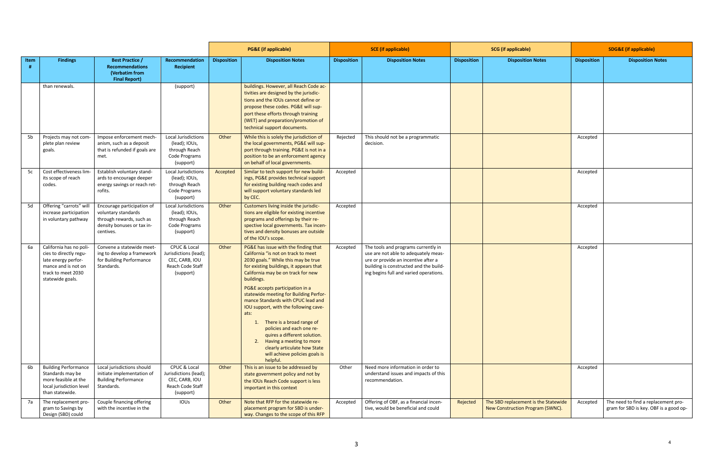|      |                                                                                                                                           |                                                                                                                          |                                                                                            |                    | <b>PG&amp;E</b> (if applicable)                                                                                                                                                                                                                                                                                                                                                                                                                                                                                                                                                                 | <b>SCE</b> (if applicable) |                                                                                                                                                                                                        | <b>SCG</b> (if applicable) |                                                                          | <b>SDG&amp;E</b> (if applicable) |                                                                               |
|------|-------------------------------------------------------------------------------------------------------------------------------------------|--------------------------------------------------------------------------------------------------------------------------|--------------------------------------------------------------------------------------------|--------------------|-------------------------------------------------------------------------------------------------------------------------------------------------------------------------------------------------------------------------------------------------------------------------------------------------------------------------------------------------------------------------------------------------------------------------------------------------------------------------------------------------------------------------------------------------------------------------------------------------|----------------------------|--------------------------------------------------------------------------------------------------------------------------------------------------------------------------------------------------------|----------------------------|--------------------------------------------------------------------------|----------------------------------|-------------------------------------------------------------------------------|
| Item | <b>Findings</b>                                                                                                                           | <b>Best Practice /</b><br><b>Recommendations</b><br>(Verbatim from<br><b>Final Report)</b>                               | Recommendation<br><b>Recipient</b>                                                         | <b>Disposition</b> | <b>Disposition Notes</b>                                                                                                                                                                                                                                                                                                                                                                                                                                                                                                                                                                        | <b>Disposition</b>         | <b>Disposition Notes</b>                                                                                                                                                                               | <b>Disposition</b>         | <b>Disposition Notes</b>                                                 | <b>Disposition</b>               | <b>Disposition Notes</b>                                                      |
|      | than renewals.                                                                                                                            |                                                                                                                          | (support)                                                                                  |                    | buildings. However, all Reach Code ac-<br>tivities are designed by the jurisdic-<br>tions and the IOUs cannot define or<br>propose these codes. PG&E will sup-<br>port these efforts through training<br>(WET) and preparation/promotion of<br>technical support documents.                                                                                                                                                                                                                                                                                                                     |                            |                                                                                                                                                                                                        |                            |                                                                          |                                  |                                                                               |
| 5b   | Projects may not com-<br>plete plan review<br>goals.                                                                                      | Impose enforcement mech-<br>anism, such as a deposit<br>that is refunded if goals are<br>met.                            | Local Jurisdictions<br>(lead); IOUs,<br>through Reach<br>Code Programs<br>(support)        | Other              | While this is solely the jurisdiction of<br>the local governments, PG&E will sup-<br>port through training. PG&E is not in a<br>position to be an enforcement agency<br>on behalf of local governments.                                                                                                                                                                                                                                                                                                                                                                                         | Rejected                   | This should not be a programmatic<br>decision.                                                                                                                                                         |                            |                                                                          | Accepted                         |                                                                               |
| 5c   | Cost effectiveness lim-<br>its scope of reach<br>codes.                                                                                   | Establish voluntary stand-<br>ards to encourage deeper<br>energy savings or reach ret-<br>rofits.                        | <b>Local Jurisdictions</b><br>(lead); IOUs,<br>through Reach<br>Code Programs<br>(support) | Accepted           | Similar to tech support for new build-<br>ings, PG&E provides technical support<br>for existing building reach codes and<br>will support voluntary standards led<br>by CEC.                                                                                                                                                                                                                                                                                                                                                                                                                     | Accepted                   |                                                                                                                                                                                                        |                            |                                                                          | Accepted                         |                                                                               |
| 5d   | Offering "carrots" will<br>increase participation<br>in voluntary pathway                                                                 | Encourage participation of<br>voluntary standards<br>through rewards, such as<br>density bonuses or tax in-<br>centives. | <b>Local Jurisdictions</b><br>(lead); IOUs,<br>through Reach<br>Code Programs<br>(support) | Other              | Customers living inside the jurisdic-<br>tions are eligible for existing incentive<br>programs and offerings by their re-<br>spective local governments. Tax incen-<br>tives and density bonuses are outside<br>of the IOU's scope.                                                                                                                                                                                                                                                                                                                                                             | Accepted                   |                                                                                                                                                                                                        |                            |                                                                          | Accepted                         |                                                                               |
| 6а   | California has no poli-<br>cies to directly regu-<br>late energy perfor-<br>mance and is not on<br>track to meet 2030<br>statewide goals. | Convene a statewide meet-<br>ing to develop a framework<br>for Building Performance<br>Standards.                        | CPUC & Local<br>Jurisdictions (lead);<br>CEC, CARB, IOU<br>Reach Code Staff<br>(support)   | Other              | PG&E has issue with the finding that<br>California "is not on track to meet<br>2030 goals." While this may be true<br>for existing buildings, it appears that<br>California may be on track for new<br>buildings.<br>PG&E accepts participation in a<br>statewide meeting for Building Perfor-<br>mance Standards with CPUC lead and<br>IOU support, with the following cave-<br>ats:<br>1. There is a broad range of<br>policies and each one re-<br>quires a different solution.<br>2. Having a meeting to more<br>clearly articulate how State<br>will achieve policies goals is<br>helpful. | Accepted                   | The tools and programs currently in<br>use are not able to adequately meas-<br>ure or provide an incentive after a<br>building is constructed and the build-<br>ing begins full and varied operations. |                            |                                                                          | Accepted                         |                                                                               |
| 6b   | <b>Building Performance</b><br>Standards may be<br>more feasible at the<br>local jurisdiction level<br>than statewide.                    | Local jurisdictions should<br>initiate implementation of<br><b>Building Performance</b><br>Standards.                    | CPUC & Local<br>Jurisdictions (lead);<br>CEC, CARB, IOU<br>Reach Code Staff<br>(support)   | Other              | This is an issue to be addressed by<br>state government policy and not by<br>the IOUs Reach Code support is less<br>important in this context                                                                                                                                                                                                                                                                                                                                                                                                                                                   | Other                      | Need more information in order to<br>understand issues and impacts of this<br>recommendation.                                                                                                          |                            |                                                                          | Accepted                         |                                                                               |
| 7a   | The replacement pro-<br>gram to Savings by<br>Design (SBD) could                                                                          | Couple financing offering<br>with the incentive in the                                                                   | IOUS                                                                                       | Other              | Note that RFP for the statewide re-<br>placement program for SBD is under-<br>way. Changes to the scope of this RFP                                                                                                                                                                                                                                                                                                                                                                                                                                                                             | Accepted                   | Offering of OBF, as a financial incen-<br>tive, would be beneficial and could                                                                                                                          | Rejected                   | The SBD replacement is the Statewide<br>New Construction Program (SWNC). | Accepted                         | The need to find a replacement pro-<br>gram for SBD is key. OBF is a good op- |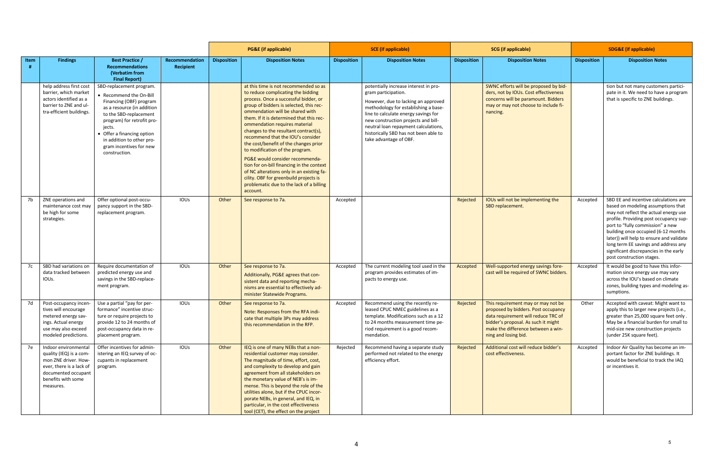|      |                                                                                                                                                               |                                                                                                                                                                                                                                                                                       |                                    |                    | <b>PG&amp;E</b> (if applicable)                                                                                                                                                                                                                                                                                                                                                                                                                                                                                                                                                                                                                                          | <b>SCE</b> (if applicable) |                                                                                                                                                                                                                                                                                                                                       | <b>SCG</b> (if applicable) |                                                                                                                                                                                                                       | <b>SDG&amp;E</b> (if applicable) |                                                                                                                                                                                                                                                                                                                                                                                                      |
|------|---------------------------------------------------------------------------------------------------------------------------------------------------------------|---------------------------------------------------------------------------------------------------------------------------------------------------------------------------------------------------------------------------------------------------------------------------------------|------------------------------------|--------------------|--------------------------------------------------------------------------------------------------------------------------------------------------------------------------------------------------------------------------------------------------------------------------------------------------------------------------------------------------------------------------------------------------------------------------------------------------------------------------------------------------------------------------------------------------------------------------------------------------------------------------------------------------------------------------|----------------------------|---------------------------------------------------------------------------------------------------------------------------------------------------------------------------------------------------------------------------------------------------------------------------------------------------------------------------------------|----------------------------|-----------------------------------------------------------------------------------------------------------------------------------------------------------------------------------------------------------------------|----------------------------------|------------------------------------------------------------------------------------------------------------------------------------------------------------------------------------------------------------------------------------------------------------------------------------------------------------------------------------------------------------------------------------------------------|
| Item | <b>Findings</b>                                                                                                                                               | <b>Best Practice /</b><br><b>Recommendations</b><br>(Verbatim from<br><b>Final Report)</b>                                                                                                                                                                                            | Recommendation<br><b>Recipient</b> | <b>Disposition</b> | <b>Disposition Notes</b>                                                                                                                                                                                                                                                                                                                                                                                                                                                                                                                                                                                                                                                 | <b>Disposition</b>         | <b>Disposition Notes</b>                                                                                                                                                                                                                                                                                                              | <b>Disposition</b>         | <b>Disposition Notes</b>                                                                                                                                                                                              | <b>Disposition</b>               | <b>Disposition Notes</b>                                                                                                                                                                                                                                                                                                                                                                             |
|      | help address first cost<br>barrier, which market<br>actors identified as a<br>barrier to ZNE and ul-<br>tra-efficient buildings.                              | SBD-replacement program.<br>• Recommend the On-Bill<br>Financing (OBF) program<br>as a resource (in addition<br>to the SBD-replacement<br>program) for retrofit pro-<br>jects.<br>• Offer a financing option<br>in addition to other pro-<br>gram incentives for new<br>construction. |                                    |                    | at this time is not recommended so as<br>to reduce complicating the bidding<br>process. Once a successful bidder, or<br>group of bidders is selected, this rec-<br>ommendation will be shared with<br>them. If it is determined that this rec-<br>ommendation requires material<br>changes to the resultant contract(s),<br>recommend that the IOU's consider<br>the cost/benefit of the changes prior<br>to modification of the program.<br>PG&E would consider recommenda-<br>tion for on-bill financing in the context<br>of NC alterations only in an existing fa-<br>cility. OBF for greenbuild projects is<br>problematic due to the lack of a billing<br>account. |                            | potentially increase interest in pro-<br>gram participation.<br>However, due to lacking an approved<br>methodology for establishing a base-<br>line to calculate energy savings for<br>new construction projects and bill-<br>neutral loan repayment calculations,<br>historically SBD has not been able to<br>take advantage of OBF. |                            | SWNC efforts will be proposed by bid-<br>ders, not by IOUs. Cost effectiveness<br>concerns will be paramount. Bidders<br>may or may not choose to include fi-<br>nancing.                                             |                                  | tion but not many customers partici-<br>pate in it. We need to have a program<br>that is specific to ZNE buildings.                                                                                                                                                                                                                                                                                  |
| 7b   | ZNE operations and<br>maintenance cost may<br>be high for some<br>strategies.                                                                                 | Offer optional post-occu-<br>pancy support in the SBD-<br>replacement program.                                                                                                                                                                                                        | <b>IOUs</b>                        | Other              | See response to 7a.                                                                                                                                                                                                                                                                                                                                                                                                                                                                                                                                                                                                                                                      | Accepted                   |                                                                                                                                                                                                                                                                                                                                       | Rejected                   | IOUs will not be implementing the<br>SBD replacement.                                                                                                                                                                 | Accepted                         | SBD EE and incentive calculations are<br>based on modeling assumptions that<br>may not reflect the actual energy use<br>profile. Providing post occupancy sup-<br>port to "fully commission" a new<br>building once occupied (6-12 months<br>later)) will help to ensure and validate<br>long term EE savings and address any<br>significant discrepancies in the early<br>post construction stages. |
| 7c   | SBD had variations on<br>data tracked between<br>IOUS.                                                                                                        | Require documentation of<br>predicted energy use and<br>savings in the SBD-replace-<br>ment program.                                                                                                                                                                                  | <b>IOUS</b>                        | Other              | See response to 7a.<br>Additionally, PG&E agrees that con-<br>sistent data and reporting mecha-<br>nisms are essential to effectively ad-<br>minister Statewide Programs.                                                                                                                                                                                                                                                                                                                                                                                                                                                                                                | Accepted                   | The current modeling tool used in the<br>program provides estimates of im-<br>pacts to energy use.                                                                                                                                                                                                                                    | Accepted                   | Well-supported energy savings fore-<br>cast will be required of SWNC bidders.                                                                                                                                         | Accepted                         | It would be good to have this infor-<br>mation since energy use may vary<br>across the IOU's based on climate<br>zones, building types and modeling as-<br>sumptions.                                                                                                                                                                                                                                |
|      | Post-occupancy incen-<br>tives will encourage<br>metered energy sav-<br>ings. Actual energy<br>use may also exceed<br>modeled predictions.                    | Use a partial "pay for per-<br>formance" incentive struc-<br>ture or require projects to<br>provide 12 to 24 months of<br>post-occupancy data in re-<br>placement program.                                                                                                            | IOUS                               | Other              | See response to 7a.<br>Note: Responses from the RFA indi-<br>cate that multiple 3Ps may address<br>this recommendation in the RFP.                                                                                                                                                                                                                                                                                                                                                                                                                                                                                                                                       | Accepted                   | Recommend using the recently re-<br>leased CPUC NMEC guidelines as a<br>template. Modifications such as a 12<br>to 24 months measurement time pe-<br>riod requirement is a good recom-<br>mendation.                                                                                                                                  | Rejected                   | This requirement may or may not be<br>proposed by bidders. Post occupancy<br>data requirement will reduce TRC of<br>bidder's proposal. As such it might<br>make the difference between a win-<br>ning and losing bid. | Other                            | Accepted with caveat: Might want to<br>apply this to larger new projects (i.e.,<br>greater than 25,000 square feet only.<br>May be a financial burden for small to<br>mid-size new construction projects<br>(under 25K square feet).                                                                                                                                                                 |
| 7e   | Indoor environmental<br>quality (IEQ) is a com-<br>mon ZNE driver. How-<br>ever, there is a lack of<br>documented occupant<br>benefits with some<br>measures. | Offer incentives for admin-<br>istering an IEQ survey of oc-<br>cupants in replacement<br>program.                                                                                                                                                                                    | <b>IOUS</b>                        | Other              | IEQ is one of many NEBs that a non-<br>residential customer may consider.<br>The magnitude of time, effort, cost,<br>and complexity to develop and gain<br>agreement from all stakeholders on<br>the monetary value of NEB's is im-<br>mense. This is beyond the role of the<br>utilities alone, but if the CPUC incor-<br>porate NEBs, in general, and IEQ, in<br>particular, in the cost effectiveness<br>tool (CET), the effect on the project                                                                                                                                                                                                                        | Rejected                   | Recommend having a separate study<br>performed not related to the energy<br>efficiency effort.                                                                                                                                                                                                                                        | Rejected                   | Additional cost will reduce bidder's<br>cost effectiveness.                                                                                                                                                           | Accepted                         | Indoor Air Quality has become an im-<br>portant factor for ZNE buildings. It<br>would be beneficial to track the IAQ<br>or incentives it.                                                                                                                                                                                                                                                            |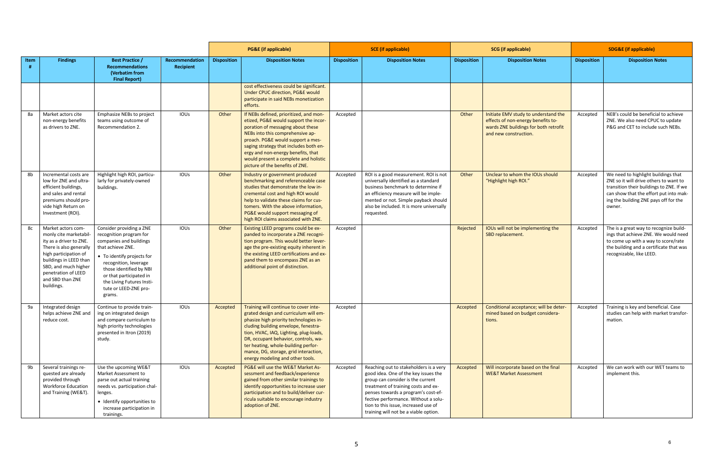|      |                                                                                                                                                                                                                                        |                                                                                                                                                                                                                                                                                  |                                    |                    | <b>PG&amp;E</b> (if applicable)                                                                                                                                                                                                                                                                                                                                        |                    | <b>SCE</b> (if applicable)                                                                                                                                                                                                                                                                                                 |                    | <b>SCG</b> (if applicable)                                                                                                                   | <b>SDG&amp;E</b> (if applicable) |                                                                                                                                                                                                                        |
|------|----------------------------------------------------------------------------------------------------------------------------------------------------------------------------------------------------------------------------------------|----------------------------------------------------------------------------------------------------------------------------------------------------------------------------------------------------------------------------------------------------------------------------------|------------------------------------|--------------------|------------------------------------------------------------------------------------------------------------------------------------------------------------------------------------------------------------------------------------------------------------------------------------------------------------------------------------------------------------------------|--------------------|----------------------------------------------------------------------------------------------------------------------------------------------------------------------------------------------------------------------------------------------------------------------------------------------------------------------------|--------------------|----------------------------------------------------------------------------------------------------------------------------------------------|----------------------------------|------------------------------------------------------------------------------------------------------------------------------------------------------------------------------------------------------------------------|
| Item | <b>Findings</b>                                                                                                                                                                                                                        | <b>Best Practice /</b><br><b>Recommendations</b><br>(Verbatim from<br><b>Final Report)</b>                                                                                                                                                                                       | Recommendation<br><b>Recipient</b> | <b>Disposition</b> | <b>Disposition Notes</b>                                                                                                                                                                                                                                                                                                                                               | <b>Disposition</b> | <b>Disposition Notes</b>                                                                                                                                                                                                                                                                                                   | <b>Disposition</b> | <b>Disposition Notes</b>                                                                                                                     | <b>Disposition</b>               | <b>Disposition Notes</b>                                                                                                                                                                                               |
|      |                                                                                                                                                                                                                                        |                                                                                                                                                                                                                                                                                  |                                    |                    | cost effectiveness could be significant.<br>Under CPUC direction, PG&E would<br>participate in said NEBs monetization<br>efforts.                                                                                                                                                                                                                                      |                    |                                                                                                                                                                                                                                                                                                                            |                    |                                                                                                                                              |                                  |                                                                                                                                                                                                                        |
| 8a   | Market actors cite<br>non-energy benefits<br>as drivers to ZNE.                                                                                                                                                                        | Emphasize NEBs to project<br>teams using outcome of<br>Recommendation 2.                                                                                                                                                                                                         | <b>IOUS</b>                        | Other              | If NEBs defined, prioritized, and mon-<br>etized, PG&E would support the incor-<br>poration of messaging about these<br>NEBs into this comprehensive ap-<br>proach. PG&E would support a mes-<br>saging strategy that includes both en-<br>ergy and non-energy benefits, that<br>would present a complete and holistic<br>picture of the benefits of ZNE.              | Accepted           |                                                                                                                                                                                                                                                                                                                            | Other              | Initiate EMV study to understand the<br>effects of non-energy benefits to-<br>wards ZNE buildings for both retrofit<br>and new construction. | Accepted                         | NEB's could be beneficial to achieve<br>ZNE. We also need CPUC to update<br>P&G and CET to include such NEBs.                                                                                                          |
| 8b   | Incremental costs are<br>low for ZNE and ultra-<br>efficient buildings,<br>and sales and rental<br>premiums should pro-<br>vide high Return on<br>Investment (ROI).                                                                    | Highlight high ROI, particu-<br>larly for privately-owned<br>buildings.                                                                                                                                                                                                          | <b>IOUS</b>                        | Other              | Industry or government produced<br>benchmarking and referenceable case<br>studies that demonstrate the low in-<br>cremental cost and high ROI would<br>help to validate these claims for cus-<br>tomers. With the above information.<br>PG&E would support messaging of<br>high ROI claims associated with ZNE.                                                        | Accepted           | ROI is a good measurement. ROI is not<br>universally identified as a standard<br>business benchmark to determine if<br>an efficiency measure will be imple-<br>mented or not. Simple payback should<br>also be included. It is more universally<br>requested.                                                              | Other              | Unclear to whom the IOUs should<br>"Highlight high ROI."                                                                                     | Accepted                         | We need to highlight buildings that<br>ZNE so it will drive others to want to<br>transition their buildings to ZNE. If we<br>can show that the effort put into mak-<br>ing the building ZNE pays off for the<br>owner. |
| 8c   | Market actors com-<br>monly cite marketabil-<br>ity as a driver to ZNE.<br>There is also generally<br>high participation of<br>buildings in LEED than<br>SBD, and much higher<br>penetration of LEED<br>and SBD than ZNE<br>buildings. | Consider providing a ZNE<br>recognition program for<br>companies and buildings<br>that achieve ZNE.<br>• To identify projects for<br>recognition, leverage<br>those identified by NBI<br>or that participated in<br>the Living Futures Insti-<br>tute or LEED-ZNE pro-<br>grams. | IOUS                               | Other              | Existing LEED programs could be ex-<br>panded to incorporate a ZNE recogni-<br>tion program. This would better lever-<br>age the pre-existing equity inherent in<br>the existing LEED certifications and ex-<br>pand them to encompass ZNE as an<br>additional point of distinction.                                                                                   | Accepted           |                                                                                                                                                                                                                                                                                                                            | Rejected           | IOUs will not be implementing the<br>SBD replacement.                                                                                        | Accepted                         | The is a great way to recognize build-<br>ings that achieve ZNE. We would need<br>to come up with a way to score/rate<br>the building and a certificate that was<br>recognizable, like LEED.                           |
| 9а   | Integrated design<br>helps achieve ZNE and<br>reduce cost.                                                                                                                                                                             | Continue to provide train-<br>ing on integrated design<br>and compare curriculum to<br>high priority technologies<br>presented in Itron (2019)<br>study.                                                                                                                         | IOUS                               | Accepted           | Training will continue to cover inte-<br>grated design and curriculum will em-<br>phasize high priority technologies in-<br>cluding building envelope, fenestra-<br>tion, HVAC, IAQ, Lighting, plug-loads,<br>DR, occupant behavior, controls, wa-<br>ter heating, whole-building perfor-<br>mance, DG, storage, grid interaction,<br>energy modeling and other tools. | Accepted           |                                                                                                                                                                                                                                                                                                                            | Accepted           | Conditional acceptance; will be deter-<br>mined based on budget considera-<br>tions.                                                         | Accepted                         | Training is key and beneficial. Case<br>studies can help with market transfor-<br>mation.                                                                                                                              |
| 9b   | Several trainings re-<br>quested are already<br>provided through<br><b>Workforce Education</b><br>and Training (WE&T).                                                                                                                 | Use the upcoming WE&T<br>Market Assessment to<br>parse out actual training<br>needs vs. participation chal-<br>lenges.<br>• Identify opportunities to<br>increase participation in<br>trainings.                                                                                 | IOUS                               | Accepted           | PG&E will use the WE&T Market As-<br>sessment and feedback/experience<br>gained from other similar trainings to<br>identify opportunities to increase user<br>participation and to build/deliver cur-<br>ricula suitable to encourage industry<br>adoption of ZNE.                                                                                                     | Accepted           | Reaching out to stakeholders is a very<br>good idea. One of the key issues the<br>group can consider is the current<br>treatment of training costs and ex-<br>penses towards a program's cost-ef-<br>fective performance. Without a solu-<br>tion to this issue, increased use of<br>training will not be a viable option. | Accepted           | Will incorporate based on the final<br><b>WE&amp;T Market Assessment</b>                                                                     | Accepted                         | We can work with our WET teams to<br>implement this.                                                                                                                                                                   |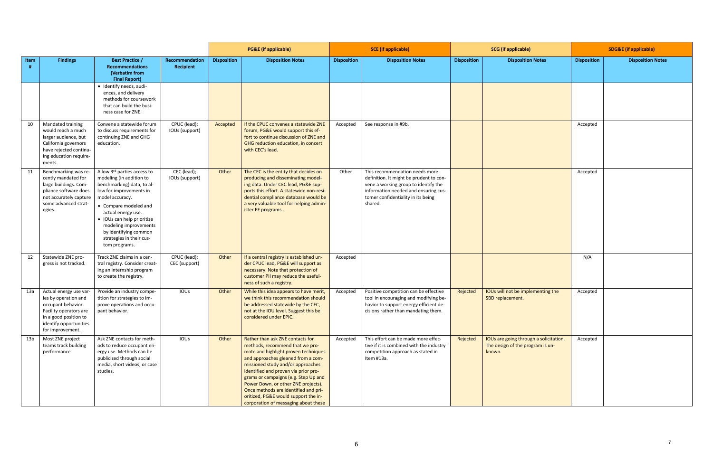|      |                                                                                                                                                                       |                                                                                                                                                                                                                                                                                                                 |                                    |                    | <b>PG&amp;E</b> (if applicable)                                                                                                                                                                                                                                                                                                                                                                                                       | <b>SCE</b> (if applicable) |                                                                                                                                                                                                            |                    | <b>SCG</b> (if applicable)                                                           | <b>SDG&amp;E</b> (if applicable) |                          |
|------|-----------------------------------------------------------------------------------------------------------------------------------------------------------------------|-----------------------------------------------------------------------------------------------------------------------------------------------------------------------------------------------------------------------------------------------------------------------------------------------------------------|------------------------------------|--------------------|---------------------------------------------------------------------------------------------------------------------------------------------------------------------------------------------------------------------------------------------------------------------------------------------------------------------------------------------------------------------------------------------------------------------------------------|----------------------------|------------------------------------------------------------------------------------------------------------------------------------------------------------------------------------------------------------|--------------------|--------------------------------------------------------------------------------------|----------------------------------|--------------------------|
| Item | <b>Findings</b>                                                                                                                                                       | <b>Best Practice /</b><br><b>Recommendations</b><br>(Verbatim from<br><b>Final Report)</b>                                                                                                                                                                                                                      | Recommendation<br><b>Recipient</b> | <b>Disposition</b> | <b>Disposition Notes</b>                                                                                                                                                                                                                                                                                                                                                                                                              | <b>Disposition</b>         | <b>Disposition Notes</b>                                                                                                                                                                                   | <b>Disposition</b> | <b>Disposition Notes</b>                                                             | <b>Disposition</b>               | <b>Disposition Notes</b> |
|      |                                                                                                                                                                       | · Identify needs, audi-<br>ences, and delivery<br>methods for coursework<br>that can build the busi-<br>ness case for ZNE.                                                                                                                                                                                      |                                    |                    |                                                                                                                                                                                                                                                                                                                                                                                                                                       |                            |                                                                                                                                                                                                            |                    |                                                                                      |                                  |                          |
| 10   | Mandated training<br>would reach a much<br>larger audience, but<br>California governors<br>have rejected continu-<br>ing education require-<br>ments.                 | Convene a statewide forum<br>to discuss requirements for<br>continuing ZNE and GHG<br>education.                                                                                                                                                                                                                | CPUC (lead);<br>IOUs (support)     | Accepted           | If the CPUC convenes a statewide ZNE<br>forum, PG&E would support this ef-<br>fort to continue discussion of ZNE and<br>GHG reduction education, in concert<br>with CEC's lead.                                                                                                                                                                                                                                                       | Accepted                   | See response in #9b.                                                                                                                                                                                       |                    |                                                                                      | Accepted                         |                          |
| 11   | Benchmarking was re-<br>cently mandated for<br>large buildings. Com-<br>pliance software does<br>not accurately capture<br>some advanced strat-<br>egies.             | Allow 3rd parties access to<br>modeling (in addition to<br>benchmarking) data, to al-<br>low for improvements in<br>model accuracy.<br>• Compare modeled and<br>actual energy use.<br>· IOUs can help prioritize<br>modeling improvements<br>by identifying common<br>strategies in their cus-<br>tom programs. | CEC (lead);<br>IOUs (support)      | Other              | The CEC is the entity that decides on<br>producing and disseminating model-<br>ing data. Under CEC lead, PG&E sup-<br>ports this effort. A statewide non-resi-<br>dential compliance database would be<br>a very valuable tool for helping admin-<br>ister EE programs                                                                                                                                                                | Other                      | This recommendation needs more<br>definition. It might be prudent to con-<br>vene a working group to identify the<br>information needed and ensuring cus-<br>tomer confidentiality in its being<br>shared. |                    |                                                                                      | Accepted                         |                          |
| 12   | Statewide ZNE pro-<br>gress is not tracked.                                                                                                                           | Track ZNE claims in a cen-<br>tral registry. Consider creat-<br>ing an internship program<br>to create the registry.                                                                                                                                                                                            | CPUC (lead);<br>CEC (support)      | Other              | If a central registry is established un-<br>der CPUC lead, PG&E will support as<br>necessary. Note that protection of<br>customer PII may reduce the useful-<br>ness of such a registry.                                                                                                                                                                                                                                              | Accepted                   |                                                                                                                                                                                                            |                    |                                                                                      | N/A                              |                          |
| 13a  | Actual energy use var-<br>ies by operation and<br>occupant behavior.<br>Facility operators are<br>in a good position to<br>identify opportunities<br>for improvement. | Provide an industry compe-<br>tition for strategies to im-<br>prove operations and occu-<br>pant behavior.                                                                                                                                                                                                      | <b>IOUS</b>                        | Other              | While this idea appears to have merit,<br>we think this recommendation should<br>be addressed statewide by the CEC,<br>not at the IOU level. Suggest this be<br>considered under EPIC.                                                                                                                                                                                                                                                | Accepted                   | Positive competition can be effective<br>tool in encouraging and modifying be-<br>havior to support energy efficient de-<br>cisions rather than mandating them.                                            | Rejected           | IOUs will not be implementing the<br>SBD replacement.                                | Accepted                         |                          |
| 13b  | Most ZNE project<br>teams track building<br>performance                                                                                                               | Ask ZNE contacts for meth-<br>ods to reduce occupant en-<br>ergy use. Methods can be<br>publicized through social<br>media, short videos, or case<br>studies.                                                                                                                                                   | IOUS                               | Other              | Rather than ask ZNE contacts for<br>methods, recommend that we pro-<br>mote and highlight proven techniques<br>and approaches gleaned from a com-<br>missioned study and/or approaches<br>identified and proven via prior pro-<br>grams or campaigns (e.g. Step Up and<br>Power Down, or other ZNE projects).<br>Once methods are identified and pri-<br>oritized, PG&E would support the in-<br>corporation of messaging about these | Accepted                   | This effort can be made more effec-<br>tive if it is combined with the industry<br>competition approach as stated in<br>Item #13a.                                                                         | Rejected           | IOUs are going through a solicitation.<br>The design of the program is un-<br>known. | Accepted                         |                          |